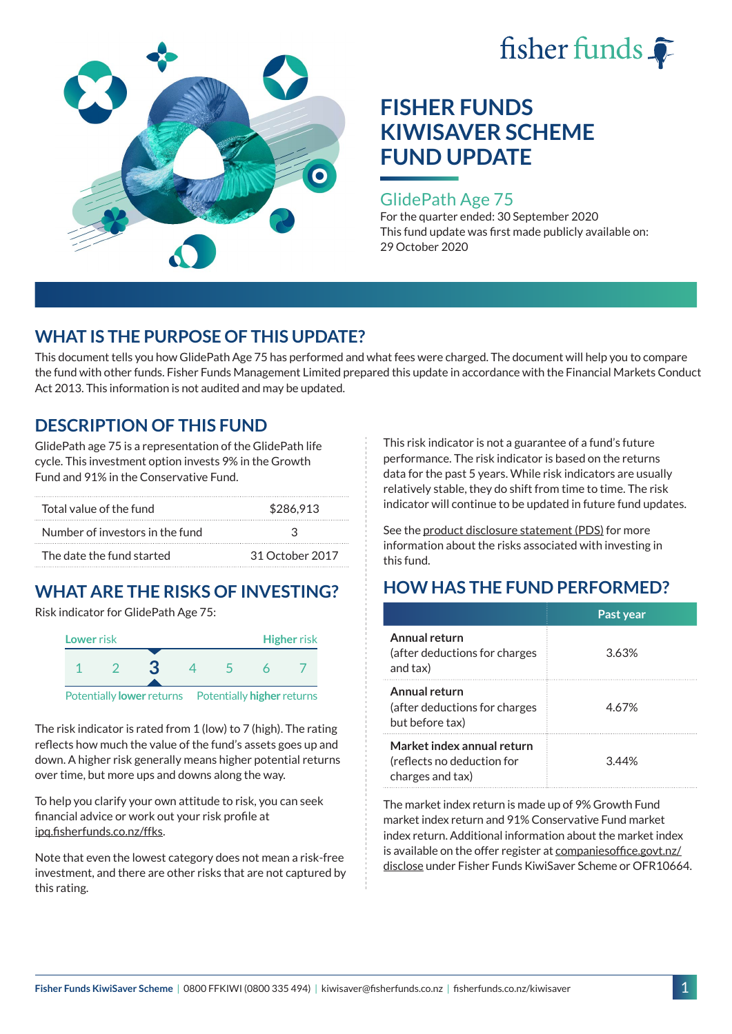



### GlidePath Age 75

For the quarter ended: 30 September 2020 This fund update was first made publicly available on: 29 October 2020

# **WHAT IS THE PURPOSE OF THIS UPDATE?**

This document tells you how GlidePath Age 75 has performed and what fees were charged. The document will help you to compare the fund with other funds. Fisher Funds Management Limited prepared this update in accordance with the Financial Markets Conduct Act 2013. This information is not audited and may be updated.

# **DESCRIPTION OF THIS FUND**

GlidePath age 75 is a representation of the GlidePath life cycle. This investment option invests 9% in the Growth Fund and 91% in the Conservative Fund.

| Total value of the fund         | \$286,913       |  |  |
|---------------------------------|-----------------|--|--|
| Number of investors in the fund | 2               |  |  |
| The date the fund started       | 31 October 2017 |  |  |

# **WHAT ARE THE RISKS OF INVESTING?**

Risk indicator for GlidePath Age 75:



Potentially **lower** returns Potentially **higher** returns

The risk indicator is rated from 1 (low) to 7 (high). The rating reflects how much the value of the fund's assets goes up and down. A higher risk generally means higher potential returns over time, but more ups and downs along the way.

To help you clarify your own attitude to risk, you can seek financial advice or work out your risk profile at [ipq.fisherfunds.co.nz/ffks](https://ipq.fisherfunds.co.nz/ffks).

Note that even the lowest category does not mean a risk-free investment, and there are other risks that are not captured by this rating.

This risk indicator is not a guarantee of a fund's future performance. The risk indicator is based on the returns data for the past 5 years. While risk indicators are usually relatively stable, they do shift from time to time. The risk indicator will continue to be updated in future fund updates.

See the [product disclosure statement \(PDS\)](https://fisherfunds.co.nz/assets/PDS/Fisher-Funds-KiwiSaver-Scheme-PDS.pdf) for more information about the risks associated with investing in this fund.

# **HOW HAS THE FUND PERFORMED?**

|                                                                              | Past year |
|------------------------------------------------------------------------------|-----------|
| Annual return<br>(after deductions for charges<br>and tax)                   | 3.63%     |
| Annual return<br>(after deductions for charges<br>but before tax)            | 4.67%     |
| Market index annual return<br>(reflects no deduction for<br>charges and tax) | 344%      |

The market index return is made up of 9% Growth Fund market index return and 91% Conservative Fund market index return. Additional information about the market index is available on the offer register at [companiesoffice.govt.nz/](http://companiesoffice.govt.nz/disclose) [disclose](http://companiesoffice.govt.nz/disclose) under Fisher Funds KiwiSaver Scheme or OFR10664.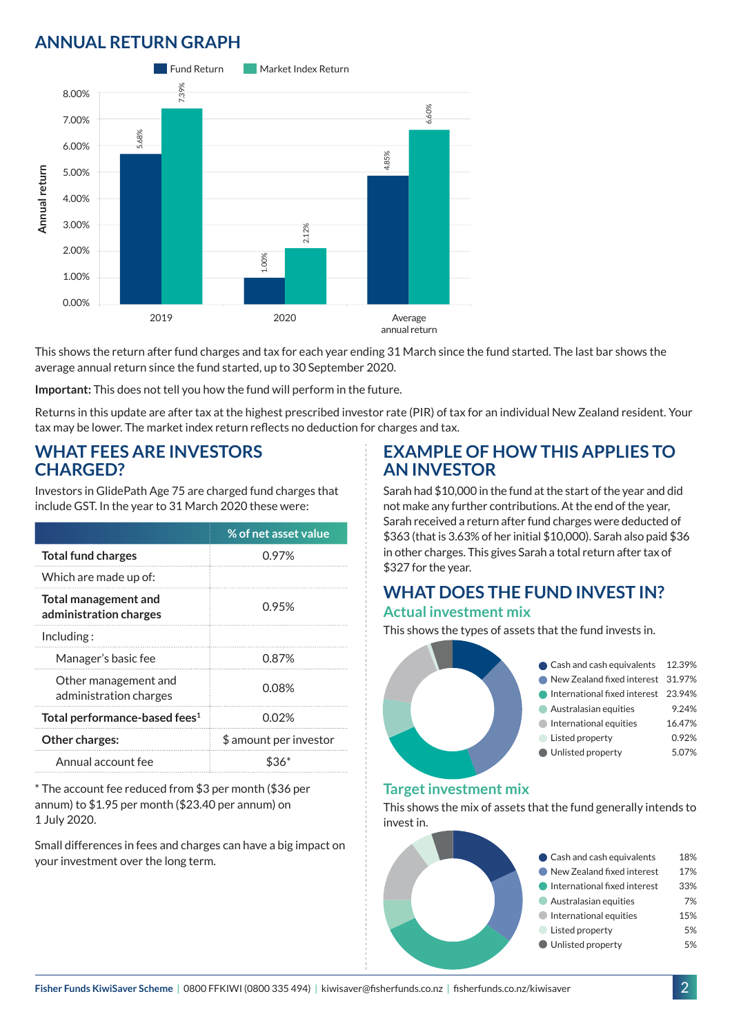# **ANNUAL RETURN GRAPH**



This shows the return after fund charges and tax for each year ending 31 March since the fund started. The last bar shows the average annual return since the fund started, up to 30 September 2020.

**Important:** This does not tell you how the fund will perform in the future.

Returns in this update are after tax at the highest prescribed investor rate (PIR) of tax for an individual New Zealand resident. Your tax may be lower. The market index return reflects no deduction for charges and tax.

### **WHAT FEES ARE INVESTORS CHARGED?**

Investors in GlidePath Age 75 are charged fund charges that include GST. In the year to 31 March 2020 these were:

|                                                | % of net asset value   |  |
|------------------------------------------------|------------------------|--|
| <b>Total fund charges</b>                      | 0.97%                  |  |
| Which are made up of:                          |                        |  |
| Total management and<br>administration charges | 0.95%                  |  |
| Including:                                     |                        |  |
| Manager's basic fee                            | 0.87%                  |  |
| Other management and<br>administration charges | 0.08%                  |  |
| Total performance-based fees <sup>1</sup>      | 0.02%                  |  |
| <b>Other charges:</b>                          | \$ amount per investor |  |
| Annual account fee                             |                        |  |

\* The account fee reduced from \$3 per month (\$36 per annum) to \$1.95 per month (\$23.40 per annum) on 1 July 2020.

Small differences in fees and charges can have a big impact on your investment over the long term.

### **EXAMPLE OF HOW THIS APPLIES TO AN INVESTOR**

Sarah had \$10,000 in the fund at the start of the year and did not make any further contributions. At the end of the year, Sarah received a return after fund charges were deducted of \$363 (that is 3.63% of her initial \$10,000). Sarah also paid \$36 in other charges. This gives Sarah a total return after tax of \$327 for the year.

#### **WHAT DOES THE FUND INVEST IN? Actual investment mix**

This shows the types of assets that the fund invests in.

| Cash and cash equivalents 12.39%    |        |
|-------------------------------------|--------|
| New Zealand fixed interest 31.97%   |        |
| International fixed interest 23.94% |        |
| Australasian equities               | 9.24%  |
| International equities              | 16.47% |
| Listed property                     | 0.92%  |
| Unlisted property                   | 5.07%  |
|                                     |        |

#### **Target investment mix**

This shows the mix of assets that the fund generally intends to invest in.